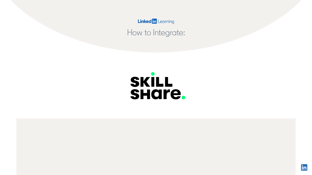How to Integrate:

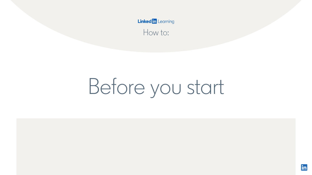How to:

# Before you start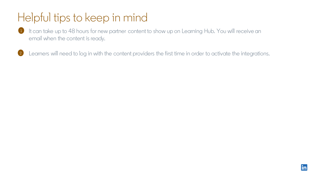### Helpful tips to keep in mind

- It can take up to 48 hours for new partner content to show up on Learning Hub. You will receive an  $\blacksquare$ email when the content is ready.
- $\left( 2\right)$ Learners will need to log in with the content providers the first time in order to activate the integrations.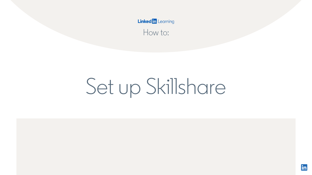How to:

## Set up Skillshare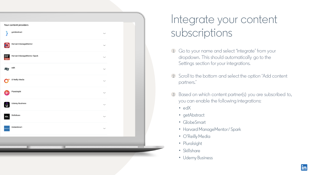|                                                | Your content providers                     |                         |  |
|------------------------------------------------|--------------------------------------------|-------------------------|--|
| λ                                              | getAbstract<br>$\check{~}$                 |                         |  |
| $\Theta$                                       | Harvard ManageMentor<br>$\checkmark$       |                         |  |
| HARVARD<br>MANAGE<br>MENTOR<br><b>/ Spark.</b> | Harvard ManageMentor Spark<br>$\checkmark$ |                         |  |
| $\overline{\textsf{ed}}\overline{\textsf{x}}$  | $\mathsf{edX}$<br>$\checkmark$             |                         |  |
| 0                                              | O'Reilly Media<br>$\checkmark$             |                         |  |
| ⋫                                              | Pluralsight<br>$\checkmark$                |                         |  |
| Û                                              | <b>Udemy Business</b><br>$\checkmark$      |                         |  |
| skiLL<br>share                                 | Skillshare<br>$\checkmark$                 |                         |  |
|                                                | GlobeSmart<br>$\check{ }$                  |                         |  |
|                                                |                                            |                         |  |
|                                                |                                            | $\qquad \qquad =\qquad$ |  |
|                                                |                                            |                         |  |

### Integrate your content subscriptions

- Go to your name and select 'Integrate' from your dropdown. This should automatically go to the Settings section for your integrations.
- 2 Scroll to the bottom and select the option 'Add content partners.'
- Based on which content partner(s) you are subscribed to, you can enable the following integrations:
	- edX
	- getAbstract
	- GlobeSmart
	- Harvard ManageMentor / Spark
	- O'Reilly Media
	- Pluralsight
	- Skillshare
	- Udemy Business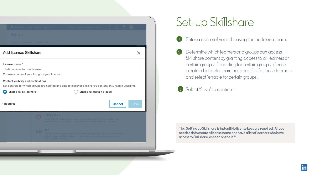| <b>In LEARNING</b> People Conte<br><b>Settings</b>                                                                            | $\circ$ $\circ$ $\circ$ $\circ$ $\circ$                                                                                                                                                      |  |  |  |  |
|-------------------------------------------------------------------------------------------------------------------------------|----------------------------------------------------------------------------------------------------------------------------------------------------------------------------------------------|--|--|--|--|
|                                                                                                                               | Global Settings Customize Monitor                                                                                                                                                            |  |  |  |  |
| Add license: Skillshare                                                                                                       | $\times$                                                                                                                                                                                     |  |  |  |  |
| License Name *                                                                                                                |                                                                                                                                                                                              |  |  |  |  |
| Enter a name for this license                                                                                                 |                                                                                                                                                                                              |  |  |  |  |
|                                                                                                                               |                                                                                                                                                                                              |  |  |  |  |
|                                                                                                                               |                                                                                                                                                                                              |  |  |  |  |
|                                                                                                                               |                                                                                                                                                                                              |  |  |  |  |
|                                                                                                                               | Set controls for which groups are notified and able to discover Skillshare's content on LinkedIn Learning.                                                                                   |  |  |  |  |
| Choose a name of your liking for your license<br>Content visibility and notifications<br>Enable for all learners<br>$\bullet$ | Enable for certain groups                                                                                                                                                                    |  |  |  |  |
|                                                                                                                               | <b>Cancel</b><br><b>Save</b>                                                                                                                                                                 |  |  |  |  |
| * Required                                                                                                                    | <b>O'Reilly Media</b><br>Enable O'Reilly Media content to sync into LinkedIn Learning. This will allow your<br>learner to seamlessly access O'Reilly Media content within LinkedIn Learning. |  |  |  |  |

### Set-up Skillshare

- Enter a name of your choosing for the license name.  $\bullet$
- $\left( 2 \right)$ Determine which learners and groups can access Skillshare content by granting access to all learners or certain groups. If enabling for certain groups, please create a LinkedIn Learning group first for those learners and select 'enable for certain groups'.

### Select 'Save' to continue.  $\begin{pmatrix} 3 \end{pmatrix}$

**Tip: Setting up Skillshare is instant! No license keys are required. All you need to do is create a license name and have a list of learners who have access to Skillshare, as seen on the left.**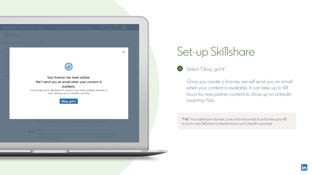

### Set-up Skillshare

Select 'Okay, got it'.  $(4)$ 

> Once you create a license, we will send you an email when your content is available. It can take up to 48 hours for new partner content to show up on LinkedIn Learning Hub.

Yay! You added your license. Look out for the email. It could take up to 48 hours for new Skillshare content to show up in LinkedIn Learning!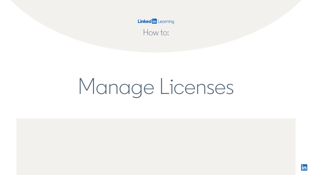How to:

# Manage Licenses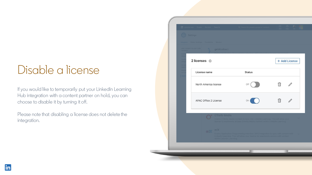### Disable a license

If you would like to temporarily put your LinkedIn Learning Hub integration with a content partner on hold, you can choose to disable it by turning it off.

Please note that disabling a license does not delete the integration.

| (() Settings                                   |                                             |                                                                                                                                                                         |               |
|------------------------------------------------|---------------------------------------------|-------------------------------------------------------------------------------------------------------------------------------------------------------------------------|---------------|
|                                                | Integrate Global Settings Customize Monitor |                                                                                                                                                                         |               |
| via AICC                                       | Add content to your LMS<br>getAbstract      |                                                                                                                                                                         |               |
| Conf<br>integ<br>Conf<br>integ<br>Acce<br>repo | 2 licenses <sup>1</sup>                     |                                                                                                                                                                         | + Add License |
| Dow<br>our o<br>Add                            | License name                                | <b>Status</b>                                                                                                                                                           |               |
|                                                | North America license                       | Off                                                                                                                                                                     | 帍             |
|                                                | APAC Office 2 License                       | On                                                                                                                                                                      | ⋒             |
|                                                | O'Reilly Media                              | Enable O'Reilly Media content to sync into LinkedIn Learning. This will allow your<br>learner to seamlessly access O'Reilly Media content within LinkedIn Learning.     |               |
|                                                | edx edx<br>within LinkedIn Learning.        | Enable Application Programming Interface (API) integration to sync edX content with<br>LinkedIn Learning. This will allow your learner to seamlessly access edX content | $\sim$        |